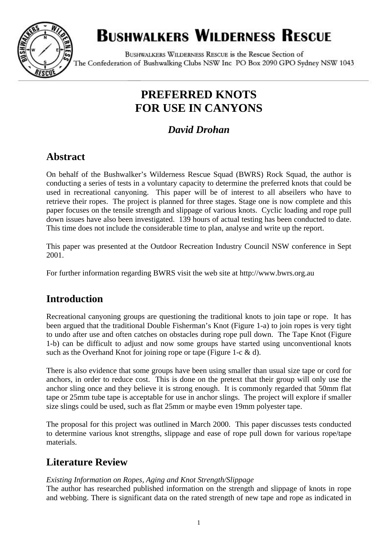

# **BUSHWALKERS WILDERNESS RESCUE**

BUSHWALKERS WILDERNESS RESCUE is the Rescue Section of The Confederation of Bushwalking Clubs NSW Inc PO Box 2090 GPO Sydney NSW 1043

# **PREFERRED KNOTS FOR USE IN CANYONS**

# *David Drohan*

# **Abstract**

On behalf of the Bushwalker's Wilderness Rescue Squad (BWRS) Rock Squad, the author is conducting a series of tests in a voluntary capacity to determine the preferred knots that could be used in recreational canyoning. This paper will be of interest to all abseilers who have to retrieve their ropes. The project is planned for three stages. Stage one is now complete and this paper focuses on the tensile strength and slippage of various knots. Cyclic loading and rope pull down issues have also been investigated. 139 hours of actual testing has been conducted to date. This time does not include the considerable time to plan, analyse and write up the report.

This paper was presented at the Outdoor Recreation Industry Council NSW conference in Sept 2001.

For further information regarding BWRS visit the web site at http://www.bwrs.org.au

# **Introduction**

Recreational canyoning groups are questioning the traditional knots to join tape or rope. It has been argued that the traditional Double Fisherman's Knot (Figure 1-a) to join ropes is very tight to undo after use and often catches on obstacles during rope pull down. The Tape Knot (Figure 1-b) can be difficult to adjust and now some groups have started using unconventional knots such as the Overhand Knot for joining rope or tape (Figure 1-c & d).

There is also evidence that some groups have been using smaller than usual size tape or cord for anchors, in order to reduce cost. This is done on the pretext that their group will only use the anchor sling once and they believe it is strong enough. It is commonly regarded that 50mm flat tape or 25mm tube tape is acceptable for use in anchor slings. The project will explore if smaller size slings could be used, such as flat 25mm or maybe even 19mm polyester tape.

The proposal for this project was outlined in March 2000. This paper discusses tests conducted to determine various knot strengths, slippage and ease of rope pull down for various rope/tape materials.

# **Literature Review**

#### *Existing Information on Ropes, Aging and Knot Strength/Slippage*

The author has researched published information on the strength and slippage of knots in rope and webbing. There is significant data on the rated strength of new tape and rope as indicated in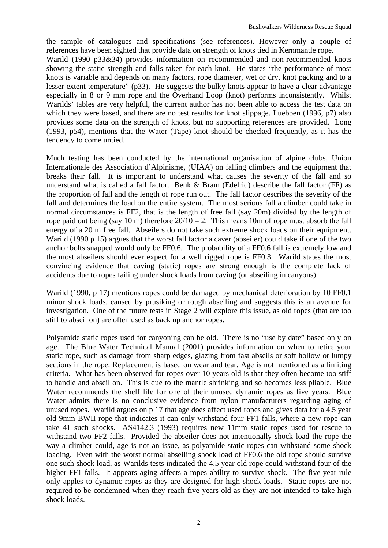the sample of catalogues and specifications (see references). However only a couple of references have been sighted that provide data on strength of knots tied in Kernmantle rope. Warild (1990 p33&34) provides information on recommended and non-recommended knots showing the static strength and falls taken for each knot. He states "the performance of most knots is variable and depends on many factors, rope diameter, wet or dry, knot packing and to a lesser extent temperature" (p33). He suggests the bulky knots appear to have a clear advantage especially in 8 or 9 mm rope and the Overhand Loop (knot) performs inconsistently. Whilst Warilds' tables are very helpful, the current author has not been able to access the test data on which they were based, and there are no test results for knot slippage. Luebben (1996, p7) also provides some data on the strength of knots, but no supporting references are provided. Long (1993, p54), mentions that the Water (Tape) knot should be checked frequently, as it has the tendency to come untied.

Much testing has been conducted by the international organisation of alpine clubs, Union Internationale des Association d'Alpinisme, (UIAA) on falling climbers and the equipment that breaks their fall. It is important to understand what causes the severity of the fall and so understand what is called a fall factor. Benk & Bram (Edelrid) describe the fall factor (FF) as the proportion of fall and the length of rope run out. The fall factor describes the severity of the fall and determines the load on the entire system. The most serious fall a climber could take in normal circumstances is FF2, that is the length of free fall (say 20m) divided by the length of rope paid out being (say 10 m) therefore  $20/10 = 2$ . This means 10m of rope must absorb the fall energy of a 20 m free fall. Abseilers do not take such extreme shock loads on their equipment. Warild (1990 p 15) argues that the worst fall factor a caver (abseiler) could take if one of the two anchor bolts snapped would only be FF0.6. The probability of a FF0.6 fall is extremely low and the most abseilers should ever expect for a well rigged rope is FF0.3. Warild states the most convincing evidence that caving (static) ropes are strong enough is the complete lack of accidents due to ropes failing under shock loads from caving (or abseiling in canyons).

Warild (1990, p 17) mentions ropes could be damaged by mechanical deterioration by 10 FF0.1 minor shock loads, caused by prusiking or rough abseiling and suggests this is an avenue for investigation. One of the future tests in Stage 2 will explore this issue, as old ropes (that are too stiff to abseil on) are often used as back up anchor ropes.

Polyamide static ropes used for canyoning can be old. There is no "use by date" based only on age. The Blue Water Technical Manual (2001) provides information on when to retire your static rope, such as damage from sharp edges, glazing from fast abseils or soft hollow or lumpy sections in the rope. Replacement is based on wear and tear. Age is not mentioned as a limiting criteria. What has been observed for ropes over 10 years old is that they often become too stiff to handle and abseil on. This is due to the mantle shrinking and so becomes less pliable. Blue Water recommends the shelf life for one of their unused dynamic ropes as five years. Blue Water admits there is no conclusive evidence from nylon manufacturers regarding aging of unused ropes. Warild argues on p 17 that age does affect used ropes and gives data for a 4.5 year old 9mm BWII rope that indicates it can only withstand four FF1 falls, where a new rope can take 41 such shocks. AS4142.3 (1993) requires new 11mm static ropes used for rescue to withstand two FF2 falls. Provided the abseiler does not intentionally shock load the rope the way a climber could, age is not an issue, as polyamide static ropes can withstand some shock loading. Even with the worst normal abseiling shock load of FF0.6 the old rope should survive one such shock load, as Warilds tests indicated the 4.5 year old rope could withstand four of the higher FF1 falls. It appears aging affects a ropes ability to survive shock. The five-year rule only apples to dynamic ropes as they are designed for high shock loads. Static ropes are not required to be condemned when they reach five years old as they are not intended to take high shock loads.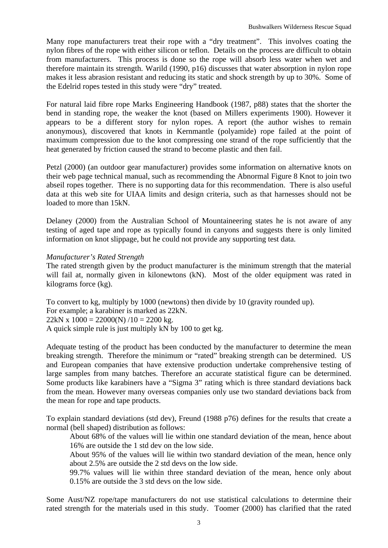Many rope manufacturers treat their rope with a "dry treatment". This involves coating the nylon fibres of the rope with either silicon or teflon. Details on the process are difficult to obtain from manufacturers. This process is done so the rope will absorb less water when wet and therefore maintain its strength. Warild (1990, p16) discusses that water absorption in nylon rope makes it less abrasion resistant and reducing its static and shock strength by up to 30%. Some of the Edelrid ropes tested in this study were "dry" treated.

For natural laid fibre rope Marks Engineering Handbook (1987, p88) states that the shorter the bend in standing rope, the weaker the knot (based on Millers experiments 1900). However it appears to be a different story for nylon ropes. A report (the author wishes to remain anonymous), discovered that knots in Kernmantle (polyamide) rope failed at the point of maximum compression due to the knot compressing one strand of the rope sufficiently that the heat generated by friction caused the strand to become plastic and then fail.

Petzl (2000) (an outdoor gear manufacturer) provides some information on alternative knots on their web page technical manual, such as recommending the Abnormal Figure 8 Knot to join two abseil ropes together. There is no supporting data for this recommendation. There is also useful data at this web site for UIAA limits and design criteria, such as that harnesses should not be loaded to more than 15kN.

Delaney (2000) from the Australian School of Mountaineering states he is not aware of any testing of aged tape and rope as typically found in canyons and suggests there is only limited information on knot slippage, but he could not provide any supporting test data.

#### *Manufacturer's Rated Strength*

The rated strength given by the product manufacturer is the minimum strength that the material will fail at, normally given in kilonewtons (kN). Most of the older equipment was rated in kilograms force (kg).

To convert to kg, multiply by 1000 (newtons) then divide by 10 (gravity rounded up). For example; a karabiner is marked as 22kN.  $22kN x 1000 = 22000(N)/10 = 2200 kg.$ A quick simple rule is just multiply kN by 100 to get kg.

Adequate testing of the product has been conducted by the manufacturer to determine the mean breaking strength. Therefore the minimum or "rated" breaking strength can be determined. US and European companies that have extensive production undertake comprehensive testing of large samples from many batches. Therefore an accurate statistical figure can be determined. Some products like karabiners have a "Sigma 3" rating which is three standard deviations back from the mean. However many overseas companies only use two standard deviations back from the mean for rope and tape products.

To explain standard deviations (std dev), Freund (1988 p76) defines for the results that create a normal (bell shaped) distribution as follows:

About 68% of the values will lie within one standard deviation of the mean, hence about 16% are outside the 1 std dev on the low side.

About 95% of the values will lie within two standard deviation of the mean, hence only about 2.5% are outside the 2 std devs on the low side.

99.7% values will lie within three standard deviation of the mean, hence only about 0.15% are outside the 3 std devs on the low side.

Some Aust/NZ rope/tape manufacturers do not use statistical calculations to determine their rated strength for the materials used in this study. Toomer (2000) has clarified that the rated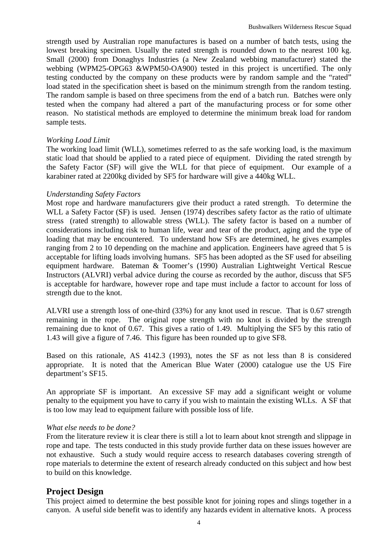strength used by Australian rope manufactures is based on a number of batch tests, using the lowest breaking specimen. Usually the rated strength is rounded down to the nearest 100 kg. Small (2000) from Donaghys Industries (a New Zealand webbing manufacturer) stated the webbing (WPM25-OPG63 &WPM50-OA900) tested in this project is uncertified. The only testing conducted by the company on these products were by random sample and the "rated" load stated in the specification sheet is based on the minimum strength from the random testing. The random sample is based on three specimens from the end of a batch run. Batches were only tested when the company had altered a part of the manufacturing process or for some other reason. No statistical methods are employed to determine the minimum break load for random sample tests.

#### *Working Load Limit*

The working load limit (WLL), sometimes referred to as the safe working load, is the maximum static load that should be applied to a rated piece of equipment. Dividing the rated strength by the Safety Factor (SF) will give the WLL for that piece of equipment. Our example of a karabiner rated at 2200kg divided by SF5 for hardware will give a 440kg WLL.

#### *Understanding Safety Factors*

Most rope and hardware manufacturers give their product a rated strength. To determine the WLL a Safety Factor (SF) is used. Jensen (1974) describes safety factor as the ratio of ultimate stress (rated strength) to allowable stress (WLL). The safety factor is based on a number of considerations including risk to human life, wear and tear of the product, aging and the type of loading that may be encountered. To understand how SFs are determined, he gives examples ranging from 2 to 10 depending on the machine and application. Engineers have agreed that 5 is acceptable for lifting loads involving humans. SF5 has been adopted as the SF used for abseiling equipment hardware. Bateman & Toomer's (1990) Australian Lightweight Vertical Rescue Instructors (ALVRI) verbal advice during the course as recorded by the author, discuss that SF5 is acceptable for hardware, however rope and tape must include a factor to account for loss of strength due to the knot.

ALVRI use a strength loss of one-third (33%) for any knot used in rescue. That is 0.67 strength remaining in the rope. The original rope strength with no knot is divided by the strength remaining due to knot of 0.67. This gives a ratio of 1.49. Multiplying the SF5 by this ratio of 1.43 will give a figure of 7.46. This figure has been rounded up to give SF8.

Based on this rationale, AS 4142.3 (1993), notes the SF as not less than 8 is considered appropriate. It is noted that the American Blue Water (2000) catalogue use the US Fire department's SF15.

An appropriate SF is important. An excessive SF may add a significant weight or volume penalty to the equipment you have to carry if you wish to maintain the existing WLLs. A SF that is too low may lead to equipment failure with possible loss of life.

#### *What else needs to be done?*

From the literature review it is clear there is still a lot to learn about knot strength and slippage in rope and tape. The tests conducted in this study provide further data on these issues however are not exhaustive. Such a study would require access to research databases covering strength of rope materials to determine the extent of research already conducted on this subject and how best to build on this knowledge.

#### **Project Design**

This project aimed to determine the best possible knot for joining ropes and slings together in a canyon. A useful side benefit was to identify any hazards evident in alternative knots. A process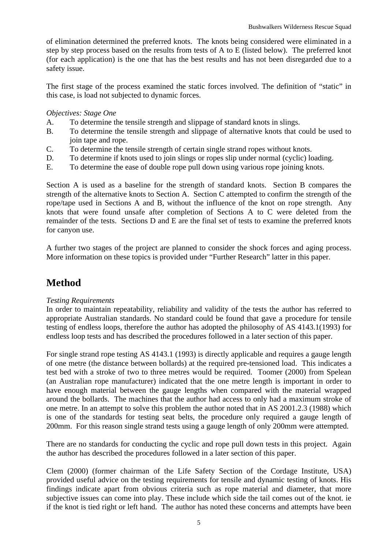of elimination determined the preferred knots. The knots being considered were eliminated in a step by step process based on the results from tests of A to E (listed below). The preferred knot (for each application) is the one that has the best results and has not been disregarded due to a safety issue.

The first stage of the process examined the static forces involved. The definition of "static" in this case, is load not subjected to dynamic forces.

#### *Objectives: Stage One*

- A. To determine the tensile strength and slippage of standard knots in slings.
- B. To determine the tensile strength and slippage of alternative knots that could be used to join tape and rope.
- C. To determine the tensile strength of certain single strand ropes without knots.
- D. To determine if knots used to join slings or ropes slip under normal (cyclic) loading.
- E. To determine the ease of double rope pull down using various rope joining knots.

Section A is used as a baseline for the strength of standard knots. Section B compares the strength of the alternative knots to Section A. Section C attempted to confirm the strength of the rope/tape used in Sections A and B, without the influence of the knot on rope strength. Any knots that were found unsafe after completion of Sections A to C were deleted from the remainder of the tests. Sections D and E are the final set of tests to examine the preferred knots for canyon use.

A further two stages of the project are planned to consider the shock forces and aging process. More information on these topics is provided under "Further Research" latter in this paper.

## **Method**

#### *Testing Requirements*

In order to maintain repeatability, reliability and validity of the tests the author has referred to appropriate Australian standards. No standard could be found that gave a procedure for tensile testing of endless loops, therefore the author has adopted the philosophy of AS 4143.1(1993) for endless loop tests and has described the procedures followed in a later section of this paper.

For single strand rope testing AS 4143.1 (1993) is directly applicable and requires a gauge length of one metre (the distance between bollards) at the required pre-tensioned load. This indicates a test bed with a stroke of two to three metres would be required. Toomer (2000) from Spelean (an Australian rope manufacturer) indicated that the one metre length is important in order to have enough material between the gauge lengths when compared with the material wrapped around the bollards. The machines that the author had access to only had a maximum stroke of one metre. In an attempt to solve this problem the author noted that in AS 2001.2.3 (1988) which is one of the standards for testing seat belts, the procedure only required a gauge length of 200mm. For this reason single strand tests using a gauge length of only 200mm were attempted.

There are no standards for conducting the cyclic and rope pull down tests in this project. Again the author has described the procedures followed in a later section of this paper.

Clem (2000) (former chairman of the Life Safety Section of the Cordage Institute, USA) provided useful advice on the testing requirements for tensile and dynamic testing of knots. His findings indicate apart from obvious criteria such as rope material and diameter, that more subjective issues can come into play. These include which side the tail comes out of the knot. ie if the knot is tied right or left hand. The author has noted these concerns and attempts have been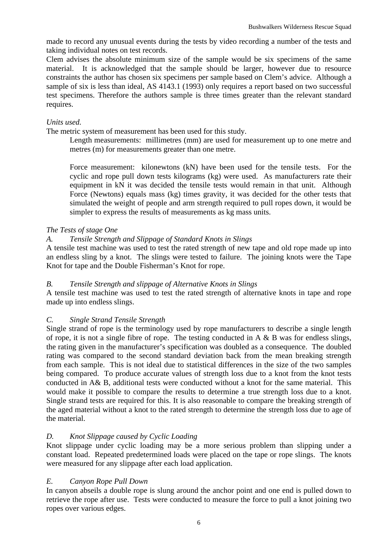made to record any unusual events during the tests by video recording a number of the tests and taking individual notes on test records.

Clem advises the absolute minimum size of the sample would be six specimens of the same material. It is acknowledged that the sample should be larger, however due to resource constraints the author has chosen six specimens per sample based on Clem's advice. Although a sample of six is less than ideal, AS 4143.1 (1993) only requires a report based on two successful test specimens. Therefore the authors sample is three times greater than the relevant standard requires.

#### *Units used.*

The metric system of measurement has been used for this study.

Length measurements: millimetres (mm) are used for measurement up to one metre and metres (m) for measurements greater than one metre.

Force measurement: kilonewtons (kN) have been used for the tensile tests. For the cyclic and rope pull down tests kilograms (kg) were used. As manufacturers rate their equipment in kN it was decided the tensile tests would remain in that unit. Although Force (Newtons) equals mass (kg) times gravity, it was decided for the other tests that simulated the weight of people and arm strength required to pull ropes down, it would be simpler to express the results of measurements as kg mass units.

#### *The Tests of stage One*

#### *A. Tensile Strength and Slippage of Standard Knots in Slings*

A tensile test machine was used to test the rated strength of new tape and old rope made up into an endless sling by a knot. The slings were tested to failure. The joining knots were the Tape Knot for tape and the Double Fisherman's Knot for rope.

#### *B. Tensile Strength and slippage of Alternative Knots in Slings*

A tensile test machine was used to test the rated strength of alternative knots in tape and rope made up into endless slings.

#### *C. Single Strand Tensile Strength*

Single strand of rope is the terminology used by rope manufacturers to describe a single length of rope, it is not a single fibre of rope. The testing conducted in A  $\&$  B was for endless slings, the rating given in the manufacturer's specification was doubled as a consequence. The doubled rating was compared to the second standard deviation back from the mean breaking strength from each sample. This is not ideal due to statistical differences in the size of the two samples being compared. To produce accurate values of strength loss due to a knot from the knot tests conducted in A& B, additional tests were conducted without a knot for the same material. This would make it possible to compare the results to determine a true strength loss due to a knot. Single strand tests are required for this. It is also reasonable to compare the breaking strength of the aged material without a knot to the rated strength to determine the strength loss due to age of the material.

#### *D. Knot Slippage caused by Cyclic Loading*

Knot slippage under cyclic loading may be a more serious problem than slipping under a constant load. Repeated predetermined loads were placed on the tape or rope slings. The knots were measured for any slippage after each load application.

#### *E. Canyon Rope Pull Down*

In canyon abseils a double rope is slung around the anchor point and one end is pulled down to retrieve the rope after use. Tests were conducted to measure the force to pull a knot joining two ropes over various edges.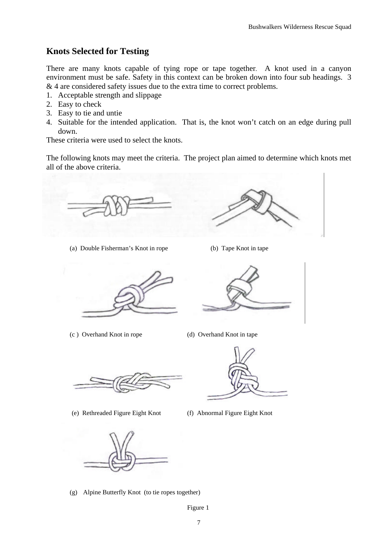### **Knots Selected for Testing**

There are many knots capable of tying rope or tape together. A knot used in a canyon environment must be safe. Safety in this context can be broken down into four sub headings. 3 & 4 are considered safety issues due to the extra time to correct problems.

- 1. Acceptable strength and slippage
- 2. Easy to check
- 3. Easy to tie and untie
- 4. Suitable for the intended application. That is, the knot won't catch on an edge during pull down.

These criteria were used to select the knots.

The following knots may meet the criteria. The project plan aimed to determine which knots met all of the above criteria.

(a) Double Fisherman's Knot in rope (b) Tape Knot in tape

(c ) Overhand Knot in rope (d) Overhand Knot in tape

(e) Rethreaded Figure Eight Knot (f) Abnormal Figure Eight Knot



(g) Alpine Butterfly Knot (to tie ropes together)





Figure 1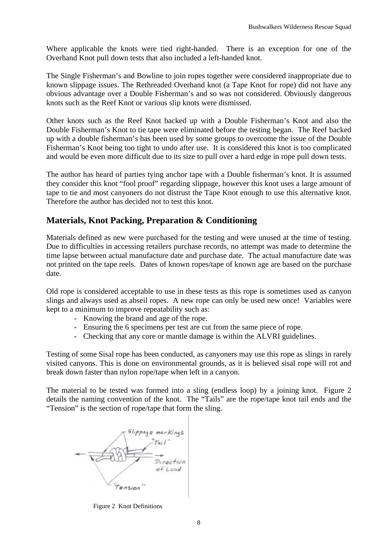Where applicable the knots were tied right-handed. There is an exception for one of the Overhand Knot pull down tests that also included a left-handed knot.

The Single Fisherman's and Bowline to join ropes together were considered inappropriate due to known slippage issues. The Rethreaded Overhand knot (a Tape Knot for rope) did not have any obvious advantage over a Double Fisherman's and so was not considered. Obviously dangerous knots such as the Reef Knot or various slip knots were dismissed.

Other knots such as the Reef Knot backed up with a Double Fisherman's Knot and also the Double Fisherman's Knot to tie tape were eliminated before the testing began. The Reef backed up with a double fisherman's has been used by some groups to overcome the issue of the Double Fisherman's Knot being too tight to undo after use. It is considered this knot is too complicated and would be even more difficult due to its size to pull over a hard edge in rope pull down tests.

The author has heard of parties tying anchor tape with a Double fisherman's knot. It is assumed they consider this knot "fool proof" regarding slippage, however this knot uses a large amount of tape to tie and most canyoners do not distrust the Tape Knot enough to use this alternative knot. Therefore the author has decided not to test this knot.

### **Materials, Knot Packing, Preparation & Conditioning**

Materials defined as new were purchased for the testing and were unused at the time of testing. Due to difficulties in accessing retailers purchase records, no attempt was made to determine the time lapse between actual manufacture date and purchase date. The actual manufacture date was not printed on the tape reels. Dates of known ropes/tape of known age are based on the purchase date.

Old rope is considered acceptable to use in these tests as this rope is sometimes used as canyon slings and always used as abseil ropes. A new rope can only be used new once! Variables were kept to a minimum to improve repeatability such as:

- Knowing the brand and age of the rope.
- Ensuring the 6 specimens per test are cut from the same piece of rope.
- Checking that any core or mantle damage is within the ALVRI guidelines.

Testing of some Sisal rope has been conducted, as canyoners may use this rope as slings in rarely visited canyons. This is done on environmental grounds, as it is believed sisal rope will rot and break down faster than nylon rope/tape when left in a canyon.

The material to be tested was formed into a sling (endless loop) by a joining knot. Figure 2 details the naming convention of the knot. The "Tails" are the rope/tape knot tail ends and the "Tension" is the section of rope/tape that form the sling.



Figure 2 Knot Definitions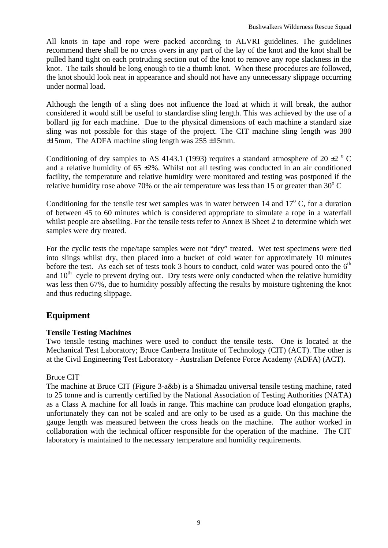All knots in tape and rope were packed according to ALVRI guidelines. The guidelines recommend there shall be no cross overs in any part of the lay of the knot and the knot shall be pulled hand tight on each protruding section out of the knot to remove any rope slackness in the knot. The tails should be long enough to tie a thumb knot. When these procedures are followed, the knot should look neat in appearance and should not have any unnecessary slippage occurring under normal load.

Although the length of a sling does not influence the load at which it will break, the author considered it would still be useful to standardise sling length. This was achieved by the use of a bollard jig for each machine. Due to the physical dimensions of each machine a standard size sling was not possible for this stage of the project. The CIT machine sling length was 380  $\pm 15$ mm. The ADFA machine sling length was 255  $\pm 15$ mm.

Conditioning of dry samples to AS 4143.1 (1993) requires a standard atmosphere of 20  $\pm$ 2  $\degree$  C and a relative humidity of  $65 \pm 2\%$ . Whilst not all testing was conducted in an air conditioned facility, the temperature and relative humidity were monitored and testing was postponed if the relative humidity rose above 70% or the air temperature was less than 15 or greater than  $30^{\circ}$  C

Conditioning for the tensile test wet samples was in water between  $14$  and  $17^{\circ}$  C, for a duration of between 45 to 60 minutes which is considered appropriate to simulate a rope in a waterfall whilst people are abseiling. For the tensile tests refer to Annex B Sheet 2 to determine which wet samples were dry treated.

For the cyclic tests the rope/tape samples were not "dry" treated. Wet test specimens were tied into slings whilst dry, then placed into a bucket of cold water for approximately 10 minutes before the test. As each set of tests took 3 hours to conduct, cold water was poured onto the  $6<sup>th</sup>$ and  $10<sup>th</sup>$  cycle to prevent drying out. Dry tests were only conducted when the relative humidity was less then 67%, due to humidity possibly affecting the results by moisture tightening the knot and thus reducing slippage.

### **Equipment**

#### **Tensile Testing Machines**

Two tensile testing machines were used to conduct the tensile tests. One is located at the Mechanical Test Laboratory; Bruce Canberra Institute of Technology (CIT) (ACT). The other is at the Civil Engineering Test Laboratory - Australian Defence Force Academy (ADFA) (ACT).

#### Bruce CIT

The machine at Bruce CIT (Figure 3-a&b) is a Shimadzu universal tensile testing machine, rated to 25 tonne and is currently certified by the National Association of Testing Authorities (NATA) as a Class A machine for all loads in range. This machine can produce load elongation graphs, unfortunately they can not be scaled and are only to be used as a guide. On this machine the gauge length was measured between the cross heads on the machine. The author worked in collaboration with the technical officer responsible for the operation of the machine. The CIT laboratory is maintained to the necessary temperature and humidity requirements.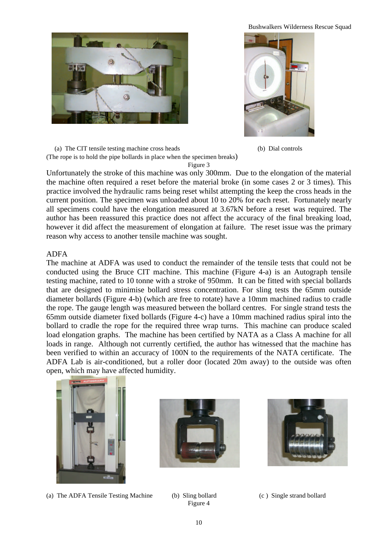Bushwalkers Wilderness Rescue Squad





 (a) The CIT tensile testing machine cross heads (b) Dial controls (The rope is to hold the pipe bollards in place when the specimen breaks) Figure 3

Unfortunately the stroke of this machine was only 300mm. Due to the elongation of the material the machine often required a reset before the material broke (in some cases 2 or 3 times). This practice involved the hydraulic rams being reset whilst attempting the keep the cross heads in the current position. The specimen was unloaded about 10 to 20% for each reset. Fortunately nearly all specimens could have the elongation measured at 3.67kN before a reset was required. The author has been reassured this practice does not affect the accuracy of the final breaking load, however it did affect the measurement of elongation at failure. The reset issue was the primary reason why access to another tensile machine was sought.

#### ADFA

The machine at ADFA was used to conduct the remainder of the tensile tests that could not be conducted using the Bruce CIT machine. This machine (Figure 4-a) is an Autograph tensile testing machine, rated to 10 tonne with a stroke of 950mm. It can be fitted with special bollards that are designed to minimise bollard stress concentration. For sling tests the 65mm outside diameter bollards (Figure 4-b) (which are free to rotate) have a 10mm machined radius to cradle the rope. The gauge length was measured between the bollard centres. For single strand tests the 65mm outside diameter fixed bollards (Figure 4-c) have a 10mm machined radius spiral into the bollard to cradle the rope for the required three wrap turns. This machine can produce scaled load elongation graphs. The machine has been certified by NATA as a Class A machine for all loads in range. Although not currently certified, the author has witnessed that the machine has been verified to within an accuracy of 100N to the requirements of the NATA certificate. The ADFA Lab is air-conditioned, but a roller door (located 20m away) to the outside was often open, which may have affected humidity.



(a) The ADFA Tensile Testing Machine (b) Sling bollard (c ) Single strand bollard





Figure 4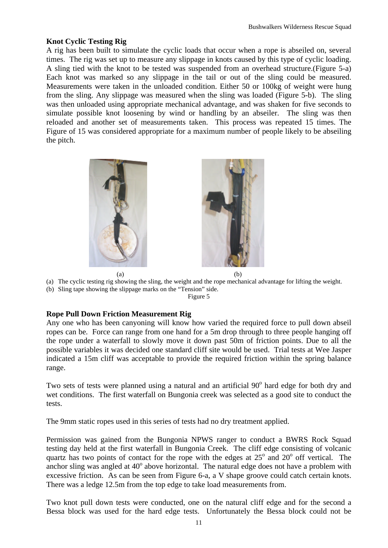#### **Knot Cyclic Testing Rig**

A rig has been built to simulate the cyclic loads that occur when a rope is abseiled on, several times. The rig was set up to measure any slippage in knots caused by this type of cyclic loading. A sling tied with the knot to be tested was suspended from an overhead structure.(Figure 5-a) Each knot was marked so any slippage in the tail or out of the sling could be measured. Measurements were taken in the unloaded condition. Either 50 or 100kg of weight were hung from the sling. Any slippage was measured when the sling was loaded (Figure 5-b). The sling was then unloaded using appropriate mechanical advantage, and was shaken for five seconds to simulate possible knot loosening by wind or handling by an abseiler. The sling was then reloaded and another set of measurements taken. This process was repeated 15 times. The Figure of 15 was considered appropriate for a maximum number of people likely to be abseiling the pitch.



(a) The cyclic testing rig showing the sling, the weight and the rope mechanical advantage for lifting the weight.

(b) Sling tape showing the slippage marks on the "Tension" side.

Figure 5

#### **Rope Pull Down Friction Measurement Rig**

Any one who has been canyoning will know how varied the required force to pull down abseil ropes can be. Force can range from one hand for a 5m drop through to three people hanging off the rope under a waterfall to slowly move it down past 50m of friction points. Due to all the possible variables it was decided one standard cliff site would be used. Trial tests at Wee Jasper indicated a 15m cliff was acceptable to provide the required friction within the spring balance range.

Two sets of tests were planned using a natural and an artificial 90° hard edge for both dry and wet conditions. The first waterfall on Bungonia creek was selected as a good site to conduct the tests.

The 9mm static ropes used in this series of tests had no dry treatment applied.

Permission was gained from the Bungonia NPWS ranger to conduct a BWRS Rock Squad testing day held at the first waterfall in Bungonia Creek. The cliff edge consisting of volcanic quartz has two points of contact for the rope with the edges at  $25^{\circ}$  and  $20^{\circ}$  off vertical. The anchor sling was angled at  $40^{\circ}$  above horizontal. The natural edge does not have a problem with excessive friction. As can be seen from Figure 6-a, a V shape groove could catch certain knots. There was a ledge 12.5m from the top edge to take load measurements from.

Two knot pull down tests were conducted, one on the natural cliff edge and for the second a Bessa block was used for the hard edge tests. Unfortunately the Bessa block could not be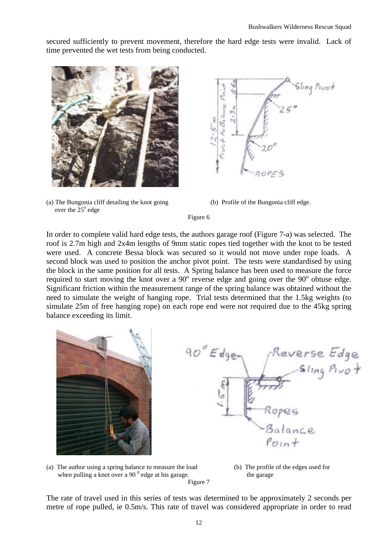secured sufficiently to prevent movement, therefore the hard edge tests were invalid. Lack of time prevented the wet tests from being conducted.



(a) The Bungonia cliff detailing the knot going (b) Profile of the Bungonia cliff edge. over the  $25^{\circ}$  edge



Figure 6

In order to complete valid hard edge tests, the authors garage roof (Figure 7-a) was selected. The roof is 2.7m high and 2x4m lengths of 9mm static ropes tied together with the knot to be tested were used. A concrete Bessa block was secured so it would not move under rope loads. A second block was used to position the anchor pivot point. The tests were standardised by using the block in the same position for all tests. A Spring balance has been used to measure the force required to start moving the knot over a  $90^{\circ}$  reverse edge and going over the  $90^{\circ}$  obtuse edge. Significant friction within the measurement range of the spring balance was obtained without the need to simulate the weight of hanging rope. Trial tests determined that the 1.5kg weights (to simulate 25m of free hanging rope) on each rope end were not required due to the 45kg spring balance exceeding its limit.







The rate of travel used in this series of tests was determined to be approximately 2 seconds per metre of rope pulled, ie 0.5m/s. This rate of travel was considered appropriate in order to read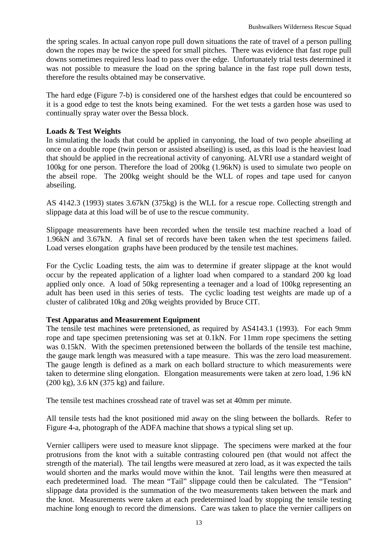the spring scales. In actual canyon rope pull down situations the rate of travel of a person pulling down the ropes may be twice the speed for small pitches. There was evidence that fast rope pull downs sometimes required less load to pass over the edge. Unfortunately trial tests determined it was not possible to measure the load on the spring balance in the fast rope pull down tests, therefore the results obtained may be conservative.

The hard edge (Figure 7-b) is considered one of the harshest edges that could be encountered so it is a good edge to test the knots being examined. For the wet tests a garden hose was used to continually spray water over the Bessa block.

#### **Loads & Test Weights**

In simulating the loads that could be applied in canyoning, the load of two people abseiling at once on a double rope (twin person or assisted abseiling) is used, as this load is the heaviest load that should be applied in the recreational activity of canyoning. ALVRI use a standard weight of 100kg for one person. Therefore the load of 200kg (1.96kN) is used to simulate two people on the abseil rope. The 200kg weight should be the WLL of ropes and tape used for canyon abseiling.

AS 4142.3 (1993) states 3.67kN (375kg) is the WLL for a rescue rope. Collecting strength and slippage data at this load will be of use to the rescue community.

Slippage measurements have been recorded when the tensile test machine reached a load of 1.96kN and 3.67kN. A final set of records have been taken when the test specimens failed. Load verses elongation graphs have been produced by the tensile test machines.

For the Cyclic Loading tests, the aim was to determine if greater slippage at the knot would occur by the repeated application of a lighter load when compared to a standard 200 kg load applied only once. A load of 50kg representing a teenager and a load of 100kg representing an adult has been used in this series of tests. The cyclic loading test weights are made up of a cluster of calibrated 10kg and 20kg weights provided by Bruce CIT.

#### **Test Apparatus and Measurement Equipment**

The tensile test machines were pretensioned, as required by AS4143.1 (1993). For each 9mm rope and tape specimen pretensioning was set at 0.1kN. For 11mm rope specimens the setting was 0.15kN. With the specimen pretensioned between the bollards of the tensile test machine, the gauge mark length was measured with a tape measure. This was the zero load measurement. The gauge length is defined as a mark on each bollard structure to which measurements were taken to determine sling elongation. Elongation measurements were taken at zero load, 1.96 kN (200 kg), 3.6 kN (375 kg) and failure.

The tensile test machines crosshead rate of travel was set at 40mm per minute.

All tensile tests had the knot positioned mid away on the sling between the bollards. Refer to Figure 4-a, photograph of the ADFA machine that shows a typical sling set up.

Vernier callipers were used to measure knot slippage. The specimens were marked at the four protrusions from the knot with a suitable contrasting coloured pen (that would not affect the strength of the material). The tail lengths were measured at zero load, as it was expected the tails would shorten and the marks would move within the knot. Tail lengths were then measured at each predetermined load. The mean "Tail" slippage could then be calculated. The "Tension" slippage data provided is the summation of the two measurements taken between the mark and the knot. Measurements were taken at each predetermined load by stopping the tensile testing machine long enough to record the dimensions. Care was taken to place the vernier callipers on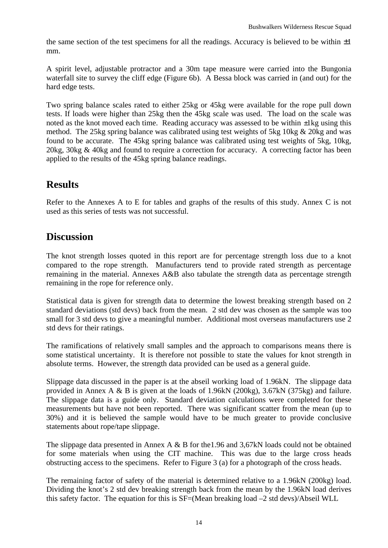the same section of the test specimens for all the readings. Accuracy is believed to be within  $\pm 1$ mm.

A spirit level, adjustable protractor and a 30m tape measure were carried into the Bungonia waterfall site to survey the cliff edge (Figure 6b). A Bessa block was carried in (and out) for the hard edge tests.

Two spring balance scales rated to either 25kg or 45kg were available for the rope pull down tests. If loads were higher than 25kg then the 45kg scale was used. The load on the scale was noted as the knot moved each time. Reading accuracy was assessed to be within  $\pm 1$ kg using this method. The 25kg spring balance was calibrated using test weights of 5kg 10kg & 20kg and was found to be accurate. The 45kg spring balance was calibrated using test weights of 5kg, 10kg, 20kg, 30kg & 40kg and found to require a correction for accuracy. A correcting factor has been applied to the results of the 45kg spring balance readings.

### **Results**

Refer to the Annexes A to E for tables and graphs of the results of this study. Annex C is not used as this series of tests was not successful.

### **Discussion**

The knot strength losses quoted in this report are for percentage strength loss due to a knot compared to the rope strength. Manufacturers tend to provide rated strength as percentage remaining in the material. Annexes A&B also tabulate the strength data as percentage strength remaining in the rope for reference only.

Statistical data is given for strength data to determine the lowest breaking strength based on 2 standard deviations (std devs) back from the mean. 2 std dev was chosen as the sample was too small for 3 std devs to give a meaningful number. Additional most overseas manufacturers use 2 std devs for their ratings.

The ramifications of relatively small samples and the approach to comparisons means there is some statistical uncertainty. It is therefore not possible to state the values for knot strength in absolute terms. However, the strength data provided can be used as a general guide.

Slippage data discussed in the paper is at the abseil working load of 1.96kN. The slippage data provided in Annex A & B is given at the loads of 1.96kN (200kg), 3.67kN (375kg) and failure. The slippage data is a guide only. Standard deviation calculations were completed for these measurements but have not been reported. There was significant scatter from the mean (up to 30%) and it is believed the sample would have to be much greater to provide conclusive statements about rope/tape slippage.

The slippage data presented in Annex A & B for the 1.96 and 3,67 kN loads could not be obtained for some materials when using the CIT machine. This was due to the large cross heads obstructing access to the specimens. Refer to Figure 3 (a) for a photograph of the cross heads.

The remaining factor of safety of the material is determined relative to a 1.96kN (200kg) load. Dividing the knot's 2 std dev breaking strength back from the mean by the 1.96kN load derives this safety factor. The equation for this is SF=(Mean breaking load –2 std devs)/Abseil WLL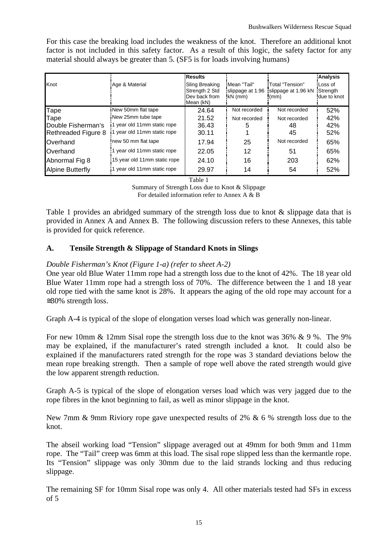For this case the breaking load includes the weakness of the knot. Therefore an additional knot factor is not included in this safety factor. As a result of this logic, the safety factor for any material should always be greater than 5. (SF5 is for loads involving humans)

|                         |                              | <b>Results</b>                                                 |                                             |                                                 | Analysis                            |
|-------------------------|------------------------------|----------------------------------------------------------------|---------------------------------------------|-------------------------------------------------|-------------------------------------|
| Knot                    | Age & Material               | Sling Breaking<br>Strength 2 Std<br>Dev back from<br>Mean (kN) | "Mean "Tail"<br>slippage at 1.96<br>kN (mm) | 'Total "Tension"<br>slippage at 1.96 kN<br>(mm) | ¦Loss of<br>Strength<br>due to knot |
| Tape                    | New 50mm flat tape           | 24.64                                                          | Not recorded                                | Not recorded                                    | 52%                                 |
| Tape                    | New 25mm tube tape           | 21.52                                                          | Not recorded                                | Not recorded                                    | 42%                                 |
| Double Fisherman's      | 1 year old 11mm static rope  | 36.43                                                          |                                             | 48                                              | 42%                                 |
| Rethreaded Figure 8     | 1 year old 11mm static rope  | 30.11                                                          |                                             | 45                                              | 52%                                 |
| <b>Overhand</b>         | new 50 mm flat tape          | 17.94                                                          | 25                                          | Not recorded                                    | 65%                                 |
| <b>Overhand</b>         | 1 year old 11mm static rope  | 22.05                                                          | 12                                          | 51                                              | 65%                                 |
| Abnormal Fig 8          | 15 year old 11mm static rope | 24.10                                                          | 16                                          | 203                                             | 62%                                 |
| <b>Alpine Butterfly</b> | 1 year old 11mm static rope  | 29.97                                                          | 14                                          | 54                                              | 52%                                 |

Table 1

Summary of Strength Loss due to Knot & Slippage

For detailed information refer to Annex A & B

Table 1 provides an abridged summary of the strength loss due to knot & slippage data that is provided in Annex A and Annex B. The following discussion refers to these Annexes, this table is provided for quick reference.

#### **A. Tensile Strength & Slippage of Standard Knots in Slings**

#### *Double Fisherman's Knot (Figure 1-a) (refer to sheet A-2)*

One year old Blue Water 11mm rope had a strength loss due to the knot of 42%. The 18 year old Blue Water 11mm rope had a strength loss of 70%. The difference between the 1 and 18 year old rope tied with the same knot is 28%. It appears the aging of the old rope may account for a  $\approx$  30% strength loss.

Graph A-4 is typical of the slope of elongation verses load which was generally non-linear.

For new 10mm & 12mm Sisal rope the strength loss due to the knot was 36% & 9 %. The 9% may be explained, if the manufacturer's rated strength included a knot. It could also be explained if the manufacturers rated strength for the rope was 3 standard deviations below the mean rope breaking strength. Then a sample of rope well above the rated strength would give the low apparent strength reduction.

Graph A-5 is typical of the slope of elongation verses load which was very jagged due to the rope fibres in the knot beginning to fail, as well as minor slippage in the knot.

New 7mm & 9mm Riviory rope gave unexpected results of 2% & 6 % strength loss due to the knot.

The abseil working load "Tension" slippage averaged out at 49mm for both 9mm and 11mm rope. The "Tail" creep was 6mm at this load. The sisal rope slipped less than the kermantle rope. Its "Tension" slippage was only 30mm due to the laid strands locking and thus reducing slippage.

The remaining SF for 10mm Sisal rope was only 4. All other materials tested had SFs in excess of 5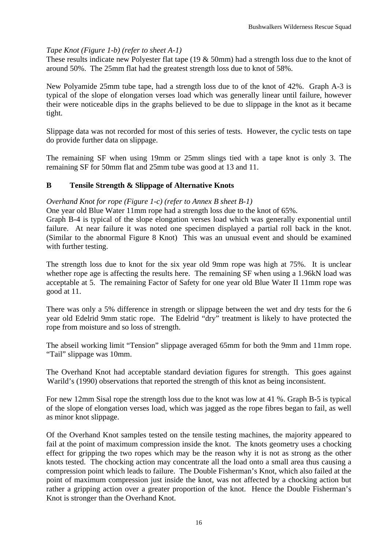#### *Tape Knot (Figure 1-b) (refer to sheet A-1)*

These results indicate new Polyester flat tape (19 & 50mm) had a strength loss due to the knot of around 50%. The 25mm flat had the greatest strength loss due to knot of 58%.

New Polyamide 25mm tube tape, had a strength loss due to of the knot of 42%. Graph A-3 is typical of the slope of elongation verses load which was generally linear until failure, however their were noticeable dips in the graphs believed to be due to slippage in the knot as it became tight.

Slippage data was not recorded for most of this series of tests. However, the cyclic tests on tape do provide further data on slippage.

The remaining SF when using 19mm or 25mm slings tied with a tape knot is only 3. The remaining SF for 50mm flat and 25mm tube was good at 13 and 11.

#### **B Tensile Strength & Slippage of Alternative Knots**

#### *Overhand Knot for rope (Figure 1-c) (refer to Annex B sheet B-1)*

One year old Blue Water 11mm rope had a strength loss due to the knot of 65%.

Graph B-4 is typical of the slope elongation verses load which was generally exponential until failure. At near failure it was noted one specimen displayed a partial roll back in the knot. (Similar to the abnormal Figure 8 Knot) This was an unusual event and should be examined with further testing.

The strength loss due to knot for the six year old 9mm rope was high at 75%. It is unclear whether rope age is affecting the results here. The remaining SF when using a 1.96kN load was acceptable at 5. The remaining Factor of Safety for one year old Blue Water II 11mm rope was good at 11.

There was only a 5% difference in strength or slippage between the wet and dry tests for the 6 year old Edelrid 9mm static rope. The Edelrid "dry" treatment is likely to have protected the rope from moisture and so loss of strength.

The abseil working limit "Tension" slippage averaged 65mm for both the 9mm and 11mm rope. "Tail" slippage was 10mm.

The Overhand Knot had acceptable standard deviation figures for strength. This goes against Warild's (1990) observations that reported the strength of this knot as being inconsistent.

For new 12mm Sisal rope the strength loss due to the knot was low at 41 %. Graph B-5 is typical of the slope of elongation verses load, which was jagged as the rope fibres began to fail, as well as minor knot slippage.

Of the Overhand Knot samples tested on the tensile testing machines, the majority appeared to fail at the point of maximum compression inside the knot. The knots geometry uses a chocking effect for gripping the two ropes which may be the reason why it is not as strong as the other knots tested. The chocking action may concentrate all the load onto a small area thus causing a compression point which leads to failure. The Double Fisherman's Knot, which also failed at the point of maximum compression just inside the knot, was not affected by a chocking action but rather a gripping action over a greater proportion of the knot. Hence the Double Fisherman's Knot is stronger than the Overhand Knot.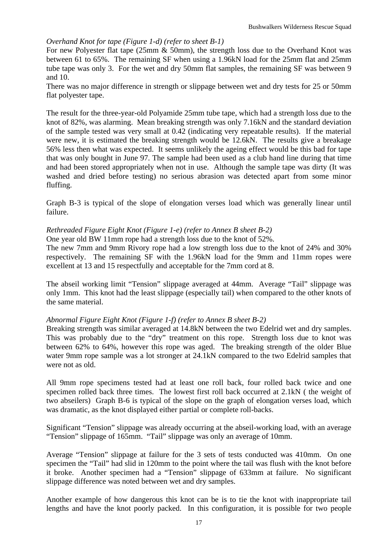#### *Overhand Knot for tape (Figure 1-d) (refer to sheet B-1)*

For new Polyester flat tape (25mm & 50mm), the strength loss due to the Overhand Knot was between 61 to 65%. The remaining SF when using a 1.96kN load for the 25mm flat and 25mm tube tape was only 3. For the wet and dry 50mm flat samples, the remaining SF was between 9 and 10.

There was no major difference in strength or slippage between wet and dry tests for 25 or 50mm flat polyester tape.

The result for the three-year-old Polyamide 25mm tube tape, which had a strength loss due to the knot of 82%, was alarming. Mean breaking strength was only 7.16kN and the standard deviation of the sample tested was very small at 0.42 (indicating very repeatable results). If the material were new, it is estimated the breaking strength would be 12.6kN. The results give a breakage 56% less then what was expected. It seems unlikely the ageing effect would be this bad for tape that was only bought in June 97. The sample had been used as a club hand line during that time and had been stored appropriately when not in use. Although the sample tape was dirty (It was washed and dried before testing) no serious abrasion was detected apart from some minor fluffing.

Graph B-3 is typical of the slope of elongation verses load which was generally linear until failure.

#### *Rethreaded Figure Eight Knot (Figure 1-e) (refer to Annex B sheet B-2)*

One year old BW 11mm rope had a strength loss due to the knot of 52%.

The new 7mm and 9mm Rivory rope had a low strength loss due to the knot of 24% and 30% respectively. The remaining SF with the 1.96kN load for the 9mm and 11mm ropes were excellent at 13 and 15 respectfully and acceptable for the 7mm cord at 8.

The abseil working limit "Tension" slippage averaged at 44mm. Average "Tail" slippage was only 1mm. This knot had the least slippage (especially tail) when compared to the other knots of the same material.

#### *Abnormal Figure Eight Knot (Figure 1-f) (refer to Annex B sheet B-2)*

Breaking strength was similar averaged at 14.8kN between the two Edelrid wet and dry samples. This was probably due to the "dry" treatment on this rope. Strength loss due to knot was between 62% to 64%, however this rope was aged. The breaking strength of the older Blue water 9mm rope sample was a lot stronger at 24.1kN compared to the two Edelrid samples that were not as old.

All 9mm rope specimens tested had at least one roll back, four rolled back twice and one specimen rolled back three times. The lowest first roll back occurred at 2.1kN ( the weight of two abseilers) Graph B-6 is typical of the slope on the graph of elongation verses load, which was dramatic, as the knot displayed either partial or complete roll-backs.

Significant "Tension" slippage was already occurring at the abseil-working load, with an average "Tension" slippage of 165mm. "Tail" slippage was only an average of 10mm.

Average "Tension" slippage at failure for the 3 sets of tests conducted was 410mm. On one specimen the "Tail" had slid in 120mm to the point where the tail was flush with the knot before it broke. Another specimen had a "Tension" slippage of 633mm at failure. No significant slippage difference was noted between wet and dry samples.

Another example of how dangerous this knot can be is to tie the knot with inappropriate tail lengths and have the knot poorly packed. In this configuration, it is possible for two people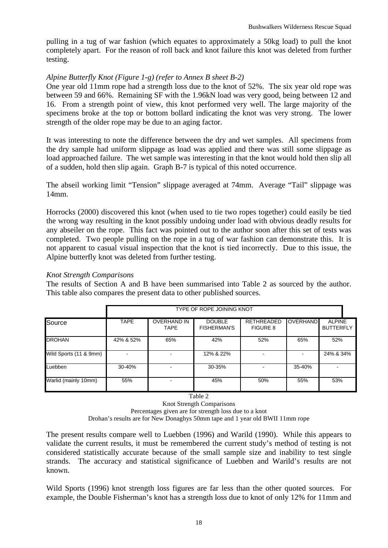pulling in a tug of war fashion (which equates to approximately a 50kg load) to pull the knot completely apart. For the reason of roll back and knot failure this knot was deleted from further testing.

#### *Alpine Butterfly Knot (Figure 1-g) (refer to Annex B sheet B-2)*

One year old 11mm rope had a strength loss due to the knot of 52%. The six year old rope was between 59 and 66%. Remaining SF with the 1.96kN load was very good, being between 12 and 16. From a strength point of view, this knot performed very well. The large majority of the specimens broke at the top or bottom bollard indicating the knot was very strong. The lower strength of the older rope may be due to an aging factor.

It was interesting to note the difference between the dry and wet samples. All specimens from the dry sample had uniform slippage as load was applied and there was still some slippage as load approached failure. The wet sample was interesting in that the knot would hold then slip all of a sudden, hold then slip again. Graph B-7 is typical of this noted occurrence.

The abseil working limit "Tension" slippage averaged at 74mm. Average "Tail" slippage was 14mm.

Horrocks (2000) discovered this knot (when used to tie two ropes together) could easily be tied the wrong way resulting in the knot possibly undoing under load with obvious deadly results for any abseiler on the rope. This fact was pointed out to the author soon after this set of tests was completed. Two people pulling on the rope in a tug of war fashion can demonstrate this. It is not apparent to casual visual inspection that the knot is tied incorrectly. Due to this issue, the Alpine butterfly knot was deleted from further testing.

#### *Knot Strength Comparisons*

The results of Section A and B have been summarised into Table 2 as sourced by the author. This table also compares the present data to other published sources.

|                        | TYPE OF ROPE JOINING KNOT |                                   |                                     |                                      |                 |                                   |
|------------------------|---------------------------|-----------------------------------|-------------------------------------|--------------------------------------|-----------------|-----------------------------------|
| Source                 | <b>TAPE</b>               | <b>OVERHAND IN</b><br><b>TAPE</b> | <b>DOUBLE</b><br><b>FISHERMAN'S</b> | <b>RETHREADED</b><br><b>FIGURE 8</b> | <b>OVERHAND</b> | <b>ALPINE</b><br><b>BUTTERFLY</b> |
| <b>DROHAN</b>          | 42% & 52%                 | 65%                               | 42%                                 | 52%                                  | 65%             | 52%                               |
| Wild Sports (11 & 9mm) |                           |                                   | 12% & 22%                           |                                      |                 | 24% & 34%                         |
| Luebben                | 30-40%                    |                                   | 30-35%                              |                                      | 35-40%          |                                   |
| Warlid (mainly 10mm)   | 55%                       |                                   | 45%                                 | 50%                                  | 55%             | 53%                               |

Table 2

Knot Strength Comparisons

Percentages given are for strength loss due to a knot

Drohan's results are for New Donaghys 50mm tape and 1 year old BWII 11mm rope

The present results compare well to Luebben (1996) and Warild (1990). While this appears to validate the current results, it must be remembered the current study's method of testing is not considered statistically accurate because of the small sample size and inability to test single strands. The accuracy and statistical significance of Luebben and Warild's results are not known.

Wild Sports (1996) knot strength loss figures are far less than the other quoted sources. For example, the Double Fisherman's knot has a strength loss due to knot of only 12% for 11mm and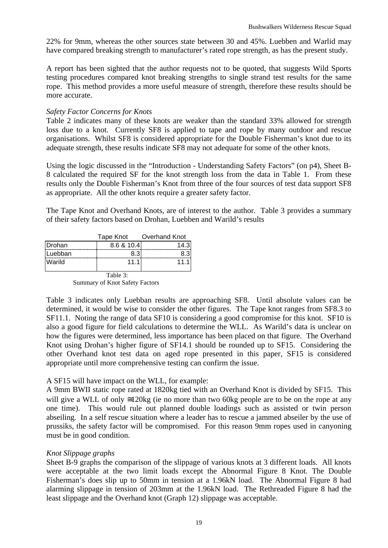22% for 9mm, whereas the other sources state between 30 and 45%. Luebben and Warlid may have compared breaking strength to manufacturer's rated rope strength, as has the present study.

A report has been sighted that the author requests not to be quoted, that suggests Wild Sports testing procedures compared knot breaking strengths to single strand test results for the same rope. This method provides a more useful measure of strength, therefore these results should be more accurate.

#### *Safety Factor Concerns for Knots*

Table 2 indicates many of these knots are weaker than the standard 33% allowed for strength loss due to a knot. Currently SF8 is applied to tape and rope by many outdoor and rescue organisations. Whilst SF8 is considered appropriate for the Double Fisherman's knot due to its adequate strength, these results indicate SF8 may not adequate for some of the other knots.

Using the logic discussed in the "Introduction - Understanding Safety Factors" (on p4), Sheet B-8 calculated the required SF for the knot strength loss from the data in Table 1. From these results only the Double Fisherman's Knot from three of the four sources of test data support SF8 as appropriate. All the other knots require a greater safety factor.

The Tape Knot and Overhand Knots, are of interest to the author. Table 3 provides a summary of their safety factors based on Drohan, Luebben and Warild's results

|               | Tape Knot  | Overhand Knot |
|---------------|------------|---------------|
| <b>Drohan</b> | 8.6 & 10.4 | 14.           |
| Luebban       |            |               |
| Warild        | 11.1       | 11.           |
|               |            |               |

 Table 3: Summary of Knot Safety Factors

Table 3 indicates only Luebban results are approaching SF8. Until absolute values can be determined, it would be wise to consider the other figures. The Tape knot ranges from SF8.3 to SF11.1. Noting the range of data SF10 is considering a good compromise for this knot. SF10 is also a good figure for field calculations to determine the WLL. As Warild's data is unclear on how the figures were determined, less importance has been placed on that figure. The Overhand Knot using Drohan's higher figure of SF14.1 should be rounded up to SF15. Considering the other Overhand knot test data on aged rope presented in this paper, SF15 is considered appropriate until more comprehensive testing can confirm the issue.

#### A SF15 will have impact on the WLL, for example:

A 9mm BWII static rope rated at 1820kg tied with an Overhand Knot is divided by SF15. This will give a WLL of only  $\leq 120$ kg (ie no more than two 60kg people are to be on the rope at any one time). This would rule out planned double loadings such as assisted or twin person abseiling. In a self rescue situation where a leader has to rescue a jammed abseiler by the use of prussiks, the safety factor will be compromised. For this reason 9mm ropes used in canyoning must be in good condition.

#### *Knot Slippage graphs*

Sheet B-9 graphs the comparison of the slippage of various knots at 3 different loads. All knots were acceptable at the two limit loads except the Abnormal Figure 8 Knot. The Double Fisherman's does slip up to 50mm in tension at a 1.96kN load. The Abnormal Figure 8 had alarming slippage in tension of 203mm at the 1.96kN load. The Rethreaded Figure 8 had the least slippage and the Overhand knot (Graph 12) slippage was acceptable.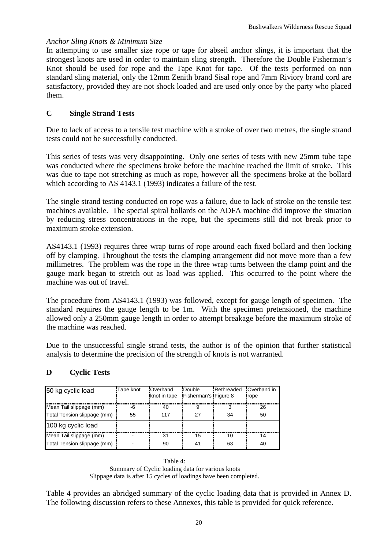#### *Anchor Sling Knots & Minimum Size*

In attempting to use smaller size rope or tape for abseil anchor slings, it is important that the strongest knots are used in order to maintain sling strength. Therefore the Double Fisherman's Knot should be used for rope and the Tape Knot for tape. Of the tests performed on non standard sling material, only the 12mm Zenith brand Sisal rope and 7mm Riviory brand cord are satisfactory, provided they are not shock loaded and are used only once by the party who placed them.

#### **C Single Strand Tests**

Due to lack of access to a tensile test machine with a stroke of over two metres, the single strand tests could not be successfully conducted.

This series of tests was very disappointing. Only one series of tests with new 25mm tube tape was conducted where the specimens broke before the machine reached the limit of stroke. This was due to tape not stretching as much as rope, however all the specimens broke at the bollard which according to AS 4143.1 (1993) indicates a failure of the test.

The single strand testing conducted on rope was a failure, due to lack of stroke on the tensile test machines available. The special spiral bollards on the ADFA machine did improve the situation by reducing stress concentrations in the rope, but the specimens still did not break prior to maximum stroke extension.

AS4143.1 (1993) requires three wrap turns of rope around each fixed bollard and then locking off by clamping. Throughout the tests the clamping arrangement did not move more than a few millimetres. The problem was the rope in the three wrap turns between the clamp point and the gauge mark began to stretch out as load was applied. This occurred to the point where the machine was out of travel.

The procedure from AS4143.1 (1993) was followed, except for gauge length of specimen. The standard requires the gauge length to be 1m. With the specimen pretensioned, the machine allowed only a 250mm gauge length in order to attempt breakage before the maximum stroke of the machine was reached.

Due to the unsuccessful single strand tests, the author is of the opinion that further statistical analysis to determine the precision of the strength of knots is not warranted.

#### **D Cyclic Tests**

| 50 kg cyclic load           | Tape knot | <b>Overhand</b><br>knot in tape | Double<br><b>IFisherman's IFigure 8</b> | Rethreaded | Overhand in<br><b>Irope</b> |
|-----------------------------|-----------|---------------------------------|-----------------------------------------|------------|-----------------------------|
| Mean Tail slippage (mm)     | -6        | 40                              | 9                                       |            | 26                          |
| Total Tension slippage (mm) | 55        | 117                             | 27                                      | 34         | 50                          |
| 100 kg cyclic load          |           |                                 |                                         |            |                             |
| Mean Tail slippage (mm)     |           | 31                              | 15                                      | 10         | 14                          |
| Total Tension slippage (mm) |           | 90                              | 41                                      | 63         | 40                          |

Table 4: Summary of Cyclic loading data for various knots Slippage data is after 15 cycles of loadings have been completed.

Table 4 provides an abridged summary of the cyclic loading data that is provided in Annex D. The following discussion refers to these Annexes, this table is provided for quick reference.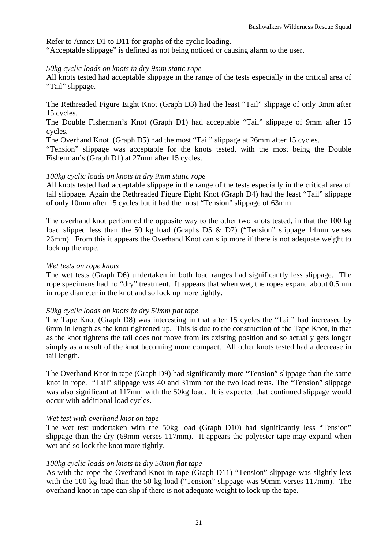Refer to Annex D1 to D11 for graphs of the cyclic loading.

"Acceptable slippage" is defined as not being noticed or causing alarm to the user.

#### *50kg cyclic loads on knots in dry 9mm static rope*

All knots tested had acceptable slippage in the range of the tests especially in the critical area of "Tail" slippage.

The Rethreaded Figure Eight Knot (Graph D3) had the least "Tail" slippage of only 3mm after 15 cycles.

The Double Fisherman's Knot (Graph D1) had acceptable "Tail" slippage of 9mm after 15 cycles.

The Overhand Knot (Graph D5) had the most "Tail" slippage at 26mm after 15 cycles.

"Tension" slippage was acceptable for the knots tested, with the most being the Double Fisherman's (Graph D1) at 27mm after 15 cycles.

#### *100kg cyclic loads on knots in dry 9mm static rope*

All knots tested had acceptable slippage in the range of the tests especially in the critical area of tail slippage. Again the Rethreaded Figure Eight Knot (Graph D4) had the least "Tail" slippage of only 10mm after 15 cycles but it had the most "Tension" slippage of 63mm.

The overhand knot performed the opposite way to the other two knots tested, in that the 100 kg load slipped less than the 50 kg load (Graphs D5 & D7) ("Tension" slippage 14mm verses 26mm). From this it appears the Overhand Knot can slip more if there is not adequate weight to lock up the rope.

#### *Wet tests on rope knots*

The wet tests (Graph D6) undertaken in both load ranges had significantly less slippage. The rope specimens had no "dry" treatment. It appears that when wet, the ropes expand about 0.5mm in rope diameter in the knot and so lock up more tightly.

#### *50kg cyclic loads on knots in dry 50mm flat tape*

The Tape Knot (Graph D8) was interesting in that after 15 cycles the "Tail" had increased by 6mm in length as the knot tightened up. This is due to the construction of the Tape Knot, in that as the knot tightens the tail does not move from its existing position and so actually gets longer simply as a result of the knot becoming more compact. All other knots tested had a decrease in tail length.

The Overhand Knot in tape (Graph D9) had significantly more "Tension" slippage than the same knot in rope. "Tail" slippage was 40 and 31mm for the two load tests. The "Tension" slippage was also significant at 117mm with the 50kg load. It is expected that continued slippage would occur with additional load cycles.

#### *Wet test with overhand knot on tape*

The wet test undertaken with the 50kg load (Graph D10) had significantly less "Tension" slippage than the dry (69mm verses 117mm). It appears the polyester tape may expand when wet and so lock the knot more tightly.

#### *100kg cyclic loads on knots in dry 50mm flat tape*

As with the rope the Overhand Knot in tape (Graph D11) "Tension" slippage was slightly less with the 100 kg load than the 50 kg load ("Tension" slippage was 90mm verses 117mm). The overhand knot in tape can slip if there is not adequate weight to lock up the tape.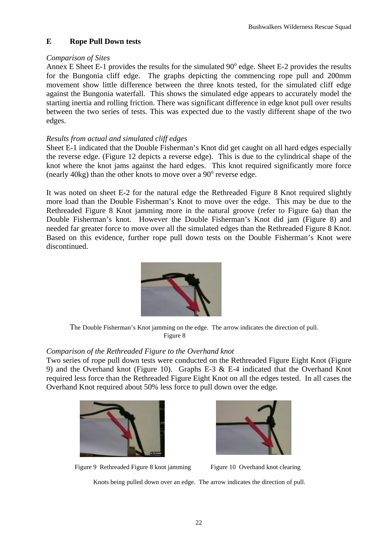#### **E Rope Pull Down tests**

#### *Comparison of Sites*

Annex E Sheet E-1 provides the results for the simulated  $90^{\circ}$  edge. Sheet E-2 provides the results for the Bungonia cliff edge. The graphs depicting the commencing rope pull and 200mm movement show little difference between the three knots tested, for the simulated cliff edge against the Bungonia waterfall. This shows the simulated edge appears to accurately model the starting inertia and rolling friction. There was significant difference in edge knot pull over results between the two series of tests. This was expected due to the vastly different shape of the two edges.

#### *Results from actual and simulated cliff edges*

Sheet E-1 indicated that the Double Fisherman's Knot did get caught on all hard edges especially the reverse edge. (Figure 12 depicts a reverse edge). This is due to the cylindrical shape of the knot where the knot jams against the hard edges. This knot required significantly more force (nearly  $40$ kg) than the other knots to move over a  $90^\circ$  reverse edge.

It was noted on sheet E-2 for the natural edge the Rethreaded Figure 8 Knot required slightly more load than the Double Fisherman's Knot to move over the edge. This may be due to the Rethreaded Figure 8 Knot jamming more in the natural groove (refer to Figure 6a) than the Double Fisherman's knot. However the Double Fisherman's Knot did jam (Figure 8) and needed far greater force to move over all the simulated edges than the Rethreaded Figure 8 Knot. Based on this evidence, further rope pull down tests on the Double Fisherman's Knot were discontinued.



The Double Fisherman's Knot jamming on the edge. The arrow indicates the direction of pull. Figure 8

#### *Comparison of the Rethreaded Figure to the Overhand knot*

Two series of rope pull down tests were conducted on the Rethreaded Figure Eight Knot (Figure 9) and the Overhand knot (Figure 10). Graphs E-3 & E-4 indicated that the Overhand Knot required less force than the Rethreaded Figure Eight Knot on all the edges tested. In all cases the Overhand Knot required about 50% less force to pull down over the edge.





Figure 9 Rethreaded Figure 8 knot jamming Figure 10 Overhand knot clearing

Knots being pulled down over an edge. The arrow indicates the direction of pull.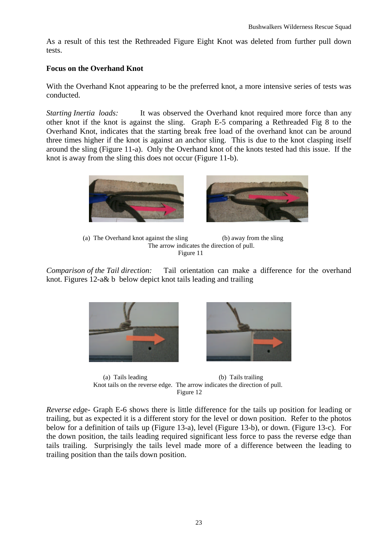As a result of this test the Rethreaded Figure Eight Knot was deleted from further pull down tests.

#### **Focus on the Overhand Knot**

With the Overhand Knot appearing to be the preferred knot, a more intensive series of tests was conducted.

*Starting Inertia loads:* It was observed the Overhand knot required more force than any other knot if the knot is against the sling. Graph E-5 comparing a Rethreaded Fig 8 to the Overhand Knot, indicates that the starting break free load of the overhand knot can be around three times higher if the knot is against an anchor sling. This is due to the knot clasping itself around the sling (Figure 11-a). Only the Overhand knot of the knots tested had this issue. If the knot is away from the sling this does not occur (Figure 11-b).



 (a) The Overhand knot against the sling (b) away from the sling The arrow indicates the direction of pull. Figure 11

*Comparison of the Tail direction:* Tail orientation can make a difference for the overhand knot. Figures 12-a& b below depict knot tails leading and trailing





 (a) Tails leading (b) Tails trailing Knot tails on the reverse edge. The arrow indicates the direction of pull. Figure 12

*Reverse edg*e- Graph E-6 shows there is little difference for the tails up position for leading or trailing, but as expected it is a different story for the level or down position. Refer to the photos below for a definition of tails up (Figure 13-a), level (Figure 13-b), or down. (Figure 13-c). For the down position, the tails leading required significant less force to pass the reverse edge than tails trailing. Surprisingly the tails level made more of a difference between the leading to trailing position than the tails down position.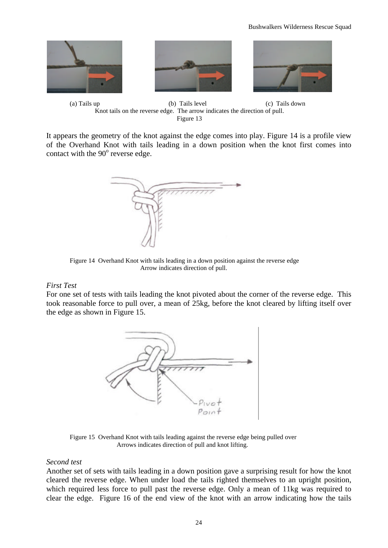





(a) Tails up (b) Tails level (c) Tails down Knot tails on the reverse edge. The arrow indicates the direction of pull. Figure 13

It appears the geometry of the knot against the edge comes into play. Figure 14 is a profile view of the Overhand Knot with tails leading in a down position when the knot first comes into contact with the  $90^{\circ}$  reverse edge.



Figure 14 Overhand Knot with tails leading in a down position against the reverse edge Arrow indicates direction of pull.

#### *First Test*

For one set of tests with tails leading the knot pivoted about the corner of the reverse edge. This took reasonable force to pull over, a mean of 25kg, before the knot cleared by lifting itself over the edge as shown in Figure 15.



Figure 15 Overhand Knot with tails leading against the reverse edge being pulled over Arrows indicates direction of pull and knot lifting.

#### *Second test*

Another set of sets with tails leading in a down position gave a surprising result for how the knot cleared the reverse edge. When under load the tails righted themselves to an upright position, which required less force to pull past the reverse edge. Only a mean of 11kg was required to clear the edge. Figure 16 of the end view of the knot with an arrow indicating how the tails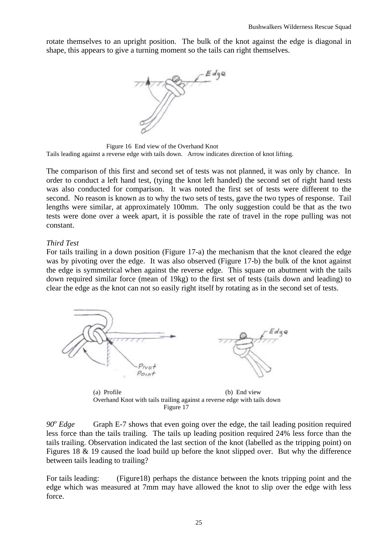rotate themselves to an upright position. The bulk of the knot against the edge is diagonal in shape, this appears to give a turning moment so the tails can right themselves.



 Figure 16 End view of the Overhand Knot Tails leading against a reverse edge with tails down. Arrow indicates direction of knot lifting.

The comparison of this first and second set of tests was not planned, it was only by chance. In order to conduct a left hand test, (tying the knot left handed) the second set of right hand tests was also conducted for comparison. It was noted the first set of tests were different to the second. No reason is known as to why the two sets of tests, gave the two types of response. Tail lengths were similar, at approximately 100mm. The only suggestion could be that as the two tests were done over a week apart, it is possible the rate of travel in the rope pulling was not constant.

#### *Third Test*

For tails trailing in a down position (Figure 17-a) the mechanism that the knot cleared the edge was by pivoting over the edge. It was also observed (Figure 17-b) the bulk of the knot against the edge is symmetrical when against the reverse edge. This square on abutment with the tails down required similar force (mean of 19kg) to the first set of tests (tails down and leading) to clear the edge as the knot can not so easily right itself by rotating as in the second set of tests.



(a) Profile (b) End view Overhand Knot with tails trailing against a reverse edge with tails down Figure 17

*90<sup>o</sup>* Graph E-7 shows that even going over the edge, the tail leading position required less force than the tails trailing. The tails up leading position required 24% less force than the tails trailing. Observation indicated the last section of the knot (labelled as the tripping point) on Figures 18 & 19 caused the load build up before the knot slipped over. But why the difference between tails leading to trailing?

For tails leading: (Figure18) perhaps the distance between the knots tripping point and the edge which was measured at 7mm may have allowed the knot to slip over the edge with less force.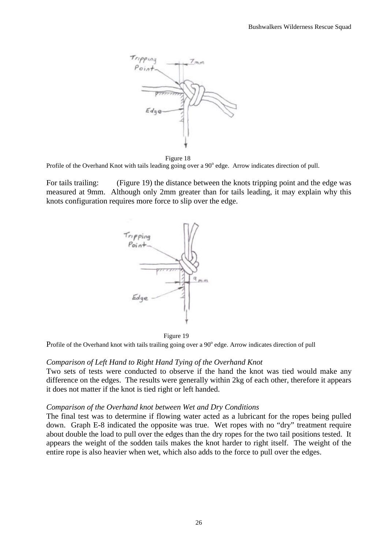

Figure 18

Profile of the Overhand Knot with tails leading going over a 90° edge. Arrow indicates direction of pull.

For tails trailing: (Figure 19) the distance between the knots tripping point and the edge was measured at 9mm. Although only 2mm greater than for tails leading, it may explain why this knots configuration requires more force to slip over the edge.



Figure 19

Profile of the Overhand knot with tails trailing going over a 90° edge. Arrow indicates direction of pull

#### *Comparison of Left Hand to Right Hand Tying of the Overhand Knot*

Two sets of tests were conducted to observe if the hand the knot was tied would make any difference on the edges. The results were generally within 2kg of each other, therefore it appears it does not matter if the knot is tied right or left handed.

#### *Comparison of the Overhand knot between Wet and Dry Conditions*

The final test was to determine if flowing water acted as a lubricant for the ropes being pulled down. Graph E-8 indicated the opposite was true. Wet ropes with no "dry" treatment require about double the load to pull over the edges than the dry ropes for the two tail positions tested. It appears the weight of the sodden tails makes the knot harder to right itself. The weight of the entire rope is also heavier when wet, which also adds to the force to pull over the edges.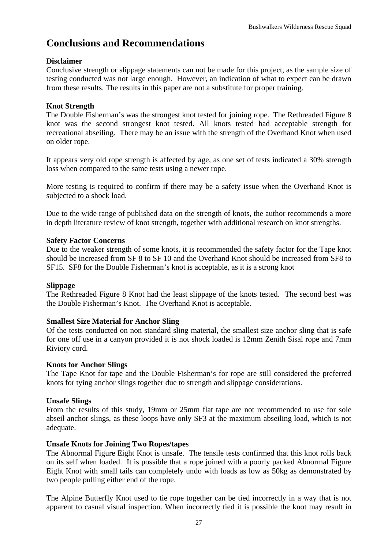# **Conclusions and Recommendations**

#### **Disclaimer**

Conclusive strength or slippage statements can not be made for this project, as the sample size of testing conducted was not large enough. However, an indication of what to expect can be drawn from these results. The results in this paper are not a substitute for proper training.

#### **Knot Strength**

The Double Fisherman's was the strongest knot tested for joining rope. The Rethreaded Figure 8 knot was the second strongest knot tested. All knots tested had acceptable strength for recreational abseiling. There may be an issue with the strength of the Overhand Knot when used on older rope.

It appears very old rope strength is affected by age, as one set of tests indicated a 30% strength loss when compared to the same tests using a newer rope.

More testing is required to confirm if there may be a safety issue when the Overhand Knot is subjected to a shock load.

Due to the wide range of published data on the strength of knots, the author recommends a more in depth literature review of knot strength, together with additional research on knot strengths.

#### **Safety Factor Concerns**

Due to the weaker strength of some knots, it is recommended the safety factor for the Tape knot should be increased from SF 8 to SF 10 and the Overhand Knot should be increased from SF8 to SF15. SF8 for the Double Fisherman's knot is acceptable, as it is a strong knot

#### **Slippage**

The Rethreaded Figure 8 Knot had the least slippage of the knots tested. The second best was the Double Fisherman's Knot. The Overhand Knot is acceptable.

#### **Smallest Size Material for Anchor Sling**

Of the tests conducted on non standard sling material, the smallest size anchor sling that is safe for one off use in a canyon provided it is not shock loaded is 12mm Zenith Sisal rope and 7mm Riviory cord.

#### **Knots for Anchor Slings**

The Tape Knot for tape and the Double Fisherman's for rope are still considered the preferred knots for tying anchor slings together due to strength and slippage considerations.

#### **Unsafe Slings**

From the results of this study, 19mm or 25mm flat tape are not recommended to use for sole abseil anchor slings, as these loops have only SF3 at the maximum abseiling load, which is not adequate.

#### **Unsafe Knots for Joining Two Ropes/tapes**

The Abnormal Figure Eight Knot is unsafe. The tensile tests confirmed that this knot rolls back on its self when loaded. It is possible that a rope joined with a poorly packed Abnormal Figure Eight Knot with small tails can completely undo with loads as low as 50kg as demonstrated by two people pulling either end of the rope.

The Alpine Butterfly Knot used to tie rope together can be tied incorrectly in a way that is not apparent to casual visual inspection. When incorrectly tied it is possible the knot may result in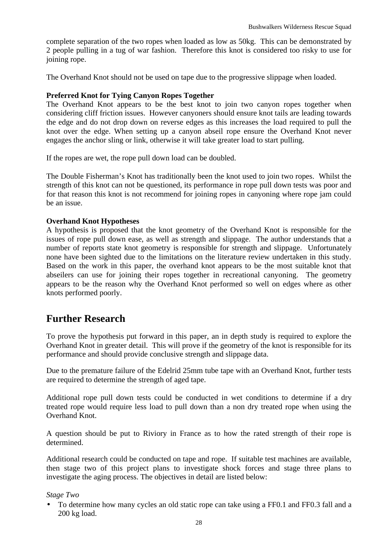complete separation of the two ropes when loaded as low as 50kg. This can be demonstrated by 2 people pulling in a tug of war fashion. Therefore this knot is considered too risky to use for joining rope.

The Overhand Knot should not be used on tape due to the progressive slippage when loaded.

#### **Preferred Knot for Tying Canyon Ropes Together**

The Overhand Knot appears to be the best knot to join two canyon ropes together when considering cliff friction issues. However canyoners should ensure knot tails are leading towards the edge and do not drop down on reverse edges as this increases the load required to pull the knot over the edge. When setting up a canyon abseil rope ensure the Overhand Knot never engages the anchor sling or link, otherwise it will take greater load to start pulling.

If the ropes are wet, the rope pull down load can be doubled.

The Double Fisherman's Knot has traditionally been the knot used to join two ropes. Whilst the strength of this knot can not be questioned, its performance in rope pull down tests was poor and for that reason this knot is not recommend for joining ropes in canyoning where rope jam could be an issue.

#### **Overhand Knot Hypotheses**

A hypothesis is proposed that the knot geometry of the Overhand Knot is responsible for the issues of rope pull down ease, as well as strength and slippage. The author understands that a number of reports state knot geometry is responsible for strength and slippage. Unfortunately none have been sighted due to the limitations on the literature review undertaken in this study. Based on the work in this paper, the overhand knot appears to be the most suitable knot that abseilers can use for joining their ropes together in recreational canyoning. The geometry appears to be the reason why the Overhand Knot performed so well on edges where as other knots performed poorly.

### **Further Research**

To prove the hypothesis put forward in this paper, an in depth study is required to explore the Overhand Knot in greater detail. This will prove if the geometry of the knot is responsible for its performance and should provide conclusive strength and slippage data.

Due to the premature failure of the Edelrid 25mm tube tape with an Overhand Knot, further tests are required to determine the strength of aged tape.

Additional rope pull down tests could be conducted in wet conditions to determine if a dry treated rope would require less load to pull down than a non dry treated rope when using the Overhand Knot.

A question should be put to Riviory in France as to how the rated strength of their rope is determined.

Additional research could be conducted on tape and rope. If suitable test machines are available, then stage two of this project plans to investigate shock forces and stage three plans to investigate the aging process. The objectives in detail are listed below:

#### *Stage Two*

• To determine how many cycles an old static rope can take using a FF0.1 and FF0.3 fall and a 200 kg load.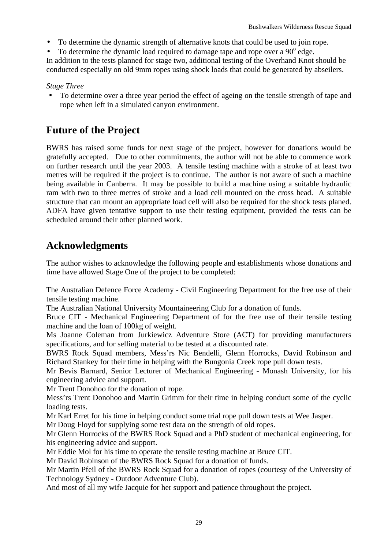- To determine the dynamic strength of alternative knots that could be used to join rope.
- To determine the dynamic load required to damage tape and rope over a  $90^{\circ}$  edge.

In addition to the tests planned for stage two, additional testing of the Overhand Knot should be conducted especially on old 9mm ropes using shock loads that could be generated by abseilers.

#### *Stage Three*

• To determine over a three year period the effect of ageing on the tensile strength of tape and rope when left in a simulated canyon environment.

## **Future of the Project**

BWRS has raised some funds for next stage of the project, however for donations would be gratefully accepted. Due to other commitments, the author will not be able to commence work on further research until the year 2003. A tensile testing machine with a stroke of at least two metres will be required if the project is to continue. The author is not aware of such a machine being available in Canberra. It may be possible to build a machine using a suitable hydraulic ram with two to three metres of stroke and a load cell mounted on the cross head. A suitable structure that can mount an appropriate load cell will also be required for the shock tests planed. ADFA have given tentative support to use their testing equipment, provided the tests can be scheduled around their other planned work.

## **Acknowledgments**

The author wishes to acknowledge the following people and establishments whose donations and time have allowed Stage One of the project to be completed:

The Australian Defence Force Academy - Civil Engineering Department for the free use of their tensile testing machine.

The Australian National University Mountaineering Club for a donation of funds.

Bruce CIT - Mechanical Engineering Department of for the free use of their tensile testing machine and the loan of 100kg of weight.

Ms Joanne Coleman from Jurkiewicz Adventure Store (ACT) for providing manufacturers specifications, and for selling material to be tested at a discounted rate.

BWRS Rock Squad members, Mess'rs Nic Bendelli, Glenn Horrocks, David Robinson and Richard Stankey for their time in helping with the Bungonia Creek rope pull down tests.

Mr Bevis Barnard, Senior Lecturer of Mechanical Engineering - Monash University, for his engineering advice and support.

Mr Trent Donohoo for the donation of rope.

Mess'rs Trent Donohoo and Martin Grimm for their time in helping conduct some of the cyclic loading tests.

Mr Karl Erret for his time in helping conduct some trial rope pull down tests at Wee Jasper.

Mr Doug Floyd for supplying some test data on the strength of old ropes.

Mr Glenn Horrocks of the BWRS Rock Squad and a PhD student of mechanical engineering, for his engineering advice and support.

Mr Eddie Mol for his time to operate the tensile testing machine at Bruce CIT.

Mr David Robinson of the BWRS Rock Squad for a donation of funds.

Mr Martin Pfeil of the BWRS Rock Squad for a donation of ropes (courtesy of the University of Technology Sydney - Outdoor Adventure Club).

And most of all my wife Jacquie for her support and patience throughout the project.